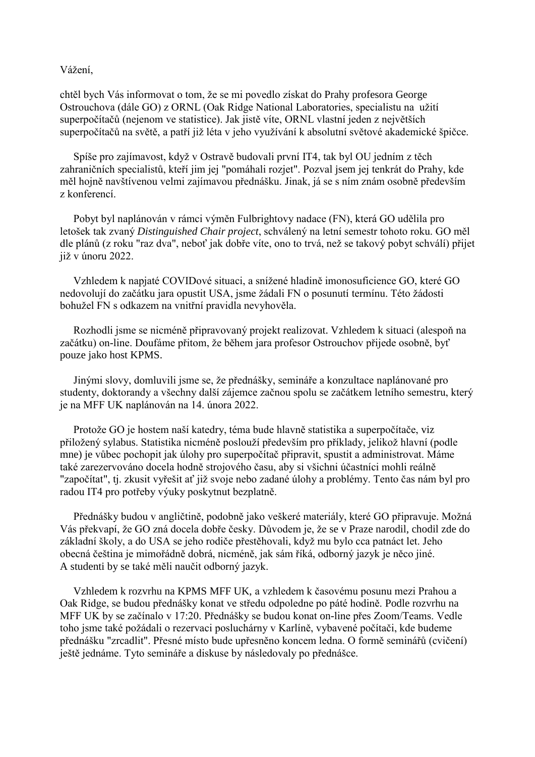Vážení,

chtěl bych Vás informovat o tom, že se mi povedlo získat do Prahy profesora George Ostrouchova (dále GO) z ORNL (Oak Ridge National Laboratories, specialistu na užití superpočítačů (nejenom ve statistice). Jak jistě víte, ORNL vlastní jeden z největších superpočítačů na světě, a patří již léta v jeho využívání k absolutní světové akademické špičce.

 Spíše pro zajímavost, když v Ostravě budovali první IT4, tak byl OU jedním z těch zahraničních specialistů, kteří jim jej "pomáhali rozjet". Pozval jsem jej tenkrát do Prahy, kde měl hojně navštívenou velmi zajímavou přednášku. Jinak, já se s ním znám osobně především z konferencí.

 Pobyt byl naplánován v rámci výměn Fulbrightovy nadace (FN), která GO udělila pro letošek tak zvaný *Distinguished Chair project*, schválený na letní semestr tohoto roku. GO měl dle plánů (z roku "raz dva", neboť jak dobře víte, ono to trvá, než se takový pobyt schválí) přijet již v únoru 2022.

 Vzhledem k napjaté COVIDové situaci, a snížené hladině imonosuficience GO, které GO nedovolují do začátku jara opustit USA, jsme žádali FN o posunutí termínu. Této žádosti bohužel FN s odkazem na vnitřní pravidla nevyhověla.

 Rozhodli jsme se nicméně připravovaný projekt realizovat. Vzhledem k situaci (alespoň na začátku) on-line. Doufáme přitom, že během jara profesor Ostrouchov přijede osobně, byť pouze jako host KPMS.

 Jinými slovy, domluvili jsme se, že přednášky, semináře a konzultace naplánované pro studenty, doktorandy a všechny další zájemce začnou spolu se začátkem letního semestru, který je na MFF UK naplánován na 14. února 2022.

 Protože GO je hostem naší katedry, téma bude hlavně statistika a superpočítače, viz přiložený sylabus. Statistika nicméně poslouží především pro příklady, jelikož hlavní (podle mne) je vůbec pochopit jak úlohy pro superpočítač připravit, spustit a administrovat. Máme také zarezervováno docela hodně strojového času, aby si všichni účastníci mohli reálně "započítat", tj. zkusit vyřešit ať již svoje nebo zadané úlohy a problémy. Tento čas nám byl pro radou IT4 pro potřeby výuky poskytnut bezplatně.

 Přednášky budou v angličtině, podobně jako veškeré materiály, které GO připravuje. Možná Vás překvapí, že GO zná docela dobře česky. Důvodem je, že se v Praze narodil, chodil zde do základní školy, a do USA se jeho rodiče přestěhovali, když mu bylo cca patnáct let. Jeho obecná čeština je mimořádně dobrá, nicméně, jak sám říká, odborný jazyk je něco jiné. A studenti by se také měli naučit odborný jazyk.

 Vzhledem k rozvrhu na KPMS MFF UK, a vzhledem k časovému posunu mezi Prahou a Oak Ridge, se budou přednášky konat ve středu odpoledne po páté hodině. Podle rozvrhu na MFF UK by se začínalo v 17:20. Přednášky se budou konat on-line přes Zoom/Teams. Vedle toho jsme také požádali o rezervaci posluchárny v Karlíně, vybavené počítači, kde budeme přednášku "zrcadlit". Přesné místo bude upřesněno koncem ledna. O formě seminářů (cvičení) ještě jednáme. Tyto semináře a diskuse by následovaly po přednášce.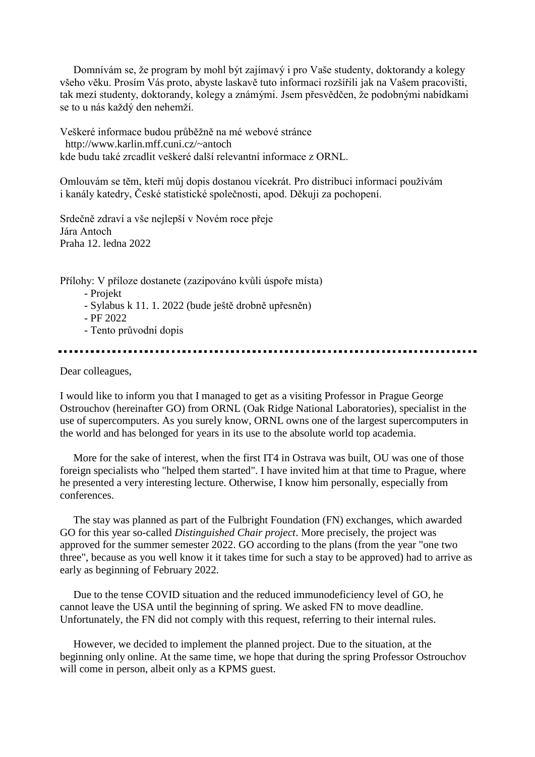Domnívám se, že program by mohl být zajímavý i pro Vaše studenty, doktorandy a kolegy všeho věku. Prosím Vás proto, abyste laskavě tuto informaci rozšířili jak na Vašem pracovišti, tak mezi studenty, doktorandy, kolegy a známými. Jsem přesvědčen, že podobnými nabídkami se to u nás každý den nehemží.

Veškeré informace budou průběžně na mé webové stránce http://www.karlin.mff.cuni.cz/~antoch kde budu také zrcadlit veškeré další relevantní informace z ORNL.

Omlouvám se těm, kteří můj dopis dostanou vícekrát. Pro distribuci informací používám i kanály katedry, České statistické společnosti, apod. Děkuji za pochopení.

Srdečně zdraví a vše nejlepší v Novém roce přeje Jára Antoch Praha 12. ledna 2022

Přílohy: V příloze dostanete (zazipováno kvůli úspoře místa)

- Projekt

- Sylabus k 11. 1. 2022 (bude ještě drobně upřesněn)

- PF 2022

- Tento průvodní dopis

Dear colleagues,

I would like to inform you that I managed to get as a visiting Professor in Prague George Ostrouchov (hereinafter GO) from ORNL (Oak Ridge National Laboratories), specialist in the use of supercomputers. As you surely know, ORNL owns one of the largest supercomputers in the world and has belonged for years in its use to the absolute world top academia.

 More for the sake of interest, when the first IT4 in Ostrava was built, OU was one of those foreign specialists who "helped them started". I have invited him at that time to Prague, where he presented a very interesting lecture. Otherwise, I know him personally, especially from conferences.

 The stay was planned as part of the Fulbright Foundation (FN) exchanges, which awarded GO for this year so-called *Distinguished Chair project*. More precisely, the project was approved for the summer semester 2022. GO according to the plans (from the year "one two three", because as you well know it it takes time for such a stay to be approved) had to arrive as early as beginning of February 2022.

 Due to the tense COVID situation and the reduced immunodeficiency level of GO, he cannot leave the USA until the beginning of spring. We asked FN to move deadline. Unfortunately, the FN did not comply with this request, referring to their internal rules.

 However, we decided to implement the planned project. Due to the situation, at the beginning only online. At the same time, we hope that during the spring Professor Ostrouchov will come in person, albeit only as a KPMS guest.